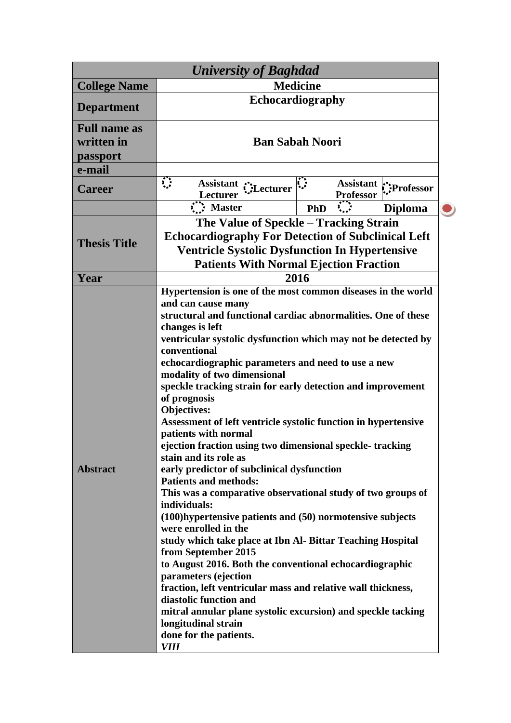| <b>University of Baghdad</b>                  |                                                                                                                                                                                                                                                                                                                                                                                                                                                                                                                                                                                                                                                                                                                                                                                                                                                                                                                                                                                                                                                                                                                                                                                                                                                                                            |  |
|-----------------------------------------------|--------------------------------------------------------------------------------------------------------------------------------------------------------------------------------------------------------------------------------------------------------------------------------------------------------------------------------------------------------------------------------------------------------------------------------------------------------------------------------------------------------------------------------------------------------------------------------------------------------------------------------------------------------------------------------------------------------------------------------------------------------------------------------------------------------------------------------------------------------------------------------------------------------------------------------------------------------------------------------------------------------------------------------------------------------------------------------------------------------------------------------------------------------------------------------------------------------------------------------------------------------------------------------------------|--|
| <b>College Name</b>                           | <b>Medicine</b>                                                                                                                                                                                                                                                                                                                                                                                                                                                                                                                                                                                                                                                                                                                                                                                                                                                                                                                                                                                                                                                                                                                                                                                                                                                                            |  |
| <b>Department</b>                             | <b>Echocardiography</b>                                                                                                                                                                                                                                                                                                                                                                                                                                                                                                                                                                                                                                                                                                                                                                                                                                                                                                                                                                                                                                                                                                                                                                                                                                                                    |  |
| <b>Full name as</b><br>written in<br>passport | <b>Ban Sabah Noori</b>                                                                                                                                                                                                                                                                                                                                                                                                                                                                                                                                                                                                                                                                                                                                                                                                                                                                                                                                                                                                                                                                                                                                                                                                                                                                     |  |
| e-mail                                        |                                                                                                                                                                                                                                                                                                                                                                                                                                                                                                                                                                                                                                                                                                                                                                                                                                                                                                                                                                                                                                                                                                                                                                                                                                                                                            |  |
| <b>Career</b>                                 | Assistant :: Lecturer<br><b>Assistant</b><br>Professor?<br><b>Professor</b><br>Lecturer                                                                                                                                                                                                                                                                                                                                                                                                                                                                                                                                                                                                                                                                                                                                                                                                                                                                                                                                                                                                                                                                                                                                                                                                    |  |
|                                               | ़<br>$\overline{\mathbf{H}}$ : Master<br><b>Diploma</b><br>PhD                                                                                                                                                                                                                                                                                                                                                                                                                                                                                                                                                                                                                                                                                                                                                                                                                                                                                                                                                                                                                                                                                                                                                                                                                             |  |
| <b>Thesis Title</b>                           | The Value of Speckle - Tracking Strain<br><b>Echocardiography For Detection of Subclinical Left</b><br><b>Ventricle Systolic Dysfunction In Hypertensive</b><br><b>Patients With Normal Ejection Fraction</b>                                                                                                                                                                                                                                                                                                                                                                                                                                                                                                                                                                                                                                                                                                                                                                                                                                                                                                                                                                                                                                                                              |  |
| Year                                          | 2016                                                                                                                                                                                                                                                                                                                                                                                                                                                                                                                                                                                                                                                                                                                                                                                                                                                                                                                                                                                                                                                                                                                                                                                                                                                                                       |  |
| <b>Abstract</b>                               | Hypertension is one of the most common diseases in the world<br>and can cause many<br>structural and functional cardiac abnormalities. One of these<br>changes is left<br>ventricular systolic dysfunction which may not be detected by<br>conventional<br>echocardiographic parameters and need to use a new<br>modality of two dimensional<br>speckle tracking strain for early detection and improvement<br>of prognosis<br><b>Objectives:</b><br>Assessment of left ventricle systolic function in hypertensive<br>patients with normal<br>ejection fraction using two dimensional speckle-tracking<br>stain and its role as<br>early predictor of subclinical dysfunction<br><b>Patients and methods:</b><br>This was a comparative observational study of two groups of<br>individuals:<br>(100)hypertensive patients and (50) normotensive subjects<br>were enrolled in the<br>study which take place at Ibn Al-Bittar Teaching Hospital<br>from September 2015<br>to August 2016. Both the conventional echocardiographic<br>parameters (ejection<br>fraction, left ventricular mass and relative wall thickness,<br>diastolic function and<br>mitral annular plane systolic excursion) and speckle tacking<br>longitudinal strain<br>done for the patients.<br><i><b>VIII</b></i> |  |